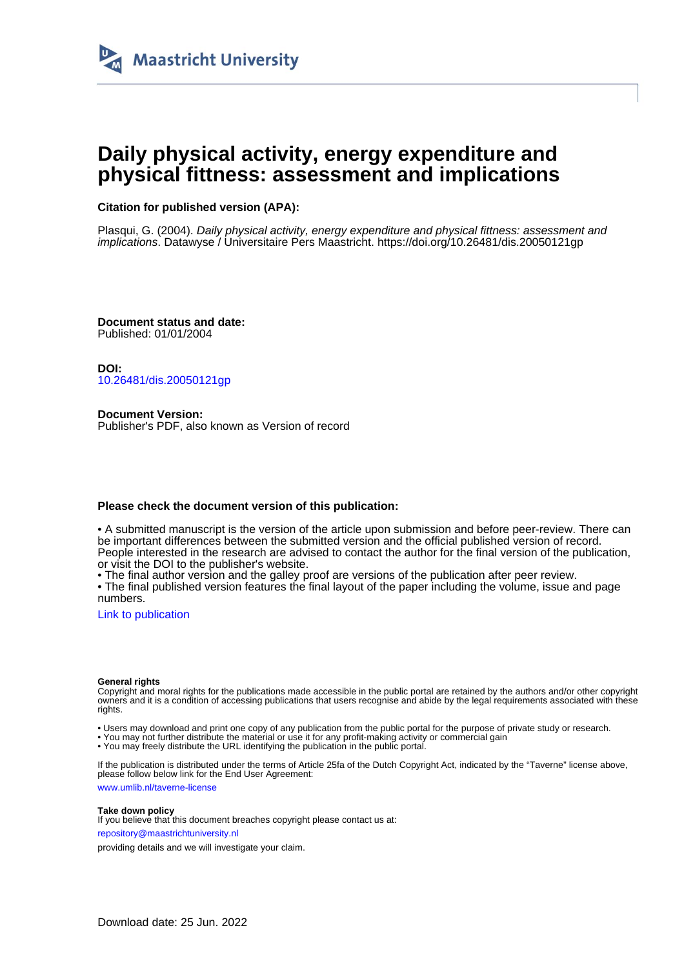

# **Daily physical activity, energy expenditure and physical fittness: assessment and implications**

## **Citation for published version (APA):**

Plasqui, G. (2004). Daily physical activity, energy expenditure and physical fittness: assessment and implications. Datawyse / Universitaire Pers Maastricht.<https://doi.org/10.26481/dis.20050121gp>

**Document status and date:** Published: 01/01/2004

**DOI:** [10.26481/dis.20050121gp](https://doi.org/10.26481/dis.20050121gp)

**Document Version:** Publisher's PDF, also known as Version of record

### **Please check the document version of this publication:**

• A submitted manuscript is the version of the article upon submission and before peer-review. There can be important differences between the submitted version and the official published version of record. People interested in the research are advised to contact the author for the final version of the publication, or visit the DOI to the publisher's website.

• The final author version and the galley proof are versions of the publication after peer review.

• The final published version features the final layout of the paper including the volume, issue and page numbers.

[Link to publication](https://cris.maastrichtuniversity.nl/en/publications/a43356a0-1439-48e7-8cee-074eb237db80)

#### **General rights**

Copyright and moral rights for the publications made accessible in the public portal are retained by the authors and/or other copyright owners and it is a condition of accessing publications that users recognise and abide by the legal requirements associated with these rights.

• Users may download and print one copy of any publication from the public portal for the purpose of private study or research.

• You may not further distribute the material or use it for any profit-making activity or commercial gain

• You may freely distribute the URL identifying the publication in the public portal.

If the publication is distributed under the terms of Article 25fa of the Dutch Copyright Act, indicated by the "Taverne" license above, please follow below link for the End User Agreement:

www.umlib.nl/taverne-license

#### **Take down policy**

If you believe that this document breaches copyright please contact us at: repository@maastrichtuniversity.nl

providing details and we will investigate your claim.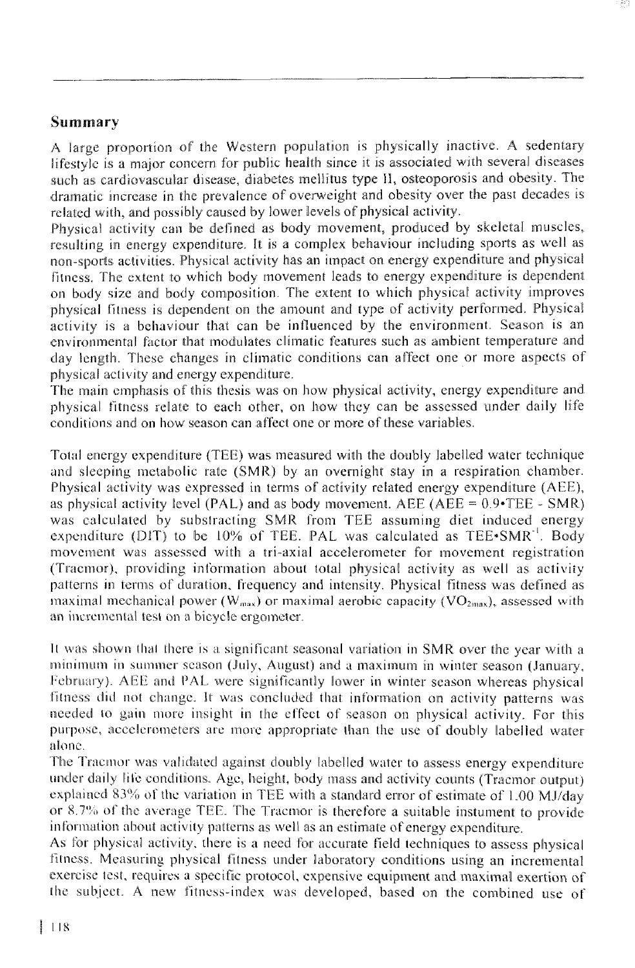## Summary

A large proportion of the Western population is physically inactive. A sedentary lifestyle is a major concern for public health since it is associated with several diseases such as cardiovascular disease, diabetes mellitus type II, osteoporosis and obesity. The dramatic increase in the prevalence of overweight and obesity over the past decades is related with, and possibly caused by lower levels of physical activity.

Physical activity can be defined as body movement, produced by skeletal muscles, resulting in energy expenditure. It is a complex behaviour including sports as well as non-sports activities. Physical activity has an impact on energy expenditure and physical fitness. The extent to which body movement leads to energy expenditure is dependent on body size and body composition. The extent to which physical activity improves physical fitness is dependent on the amount and type of activity performed. Physical activity is a behaviour that can be influenced by the environment. Season is an environmental factor that modulates climatic features such as ambient temperature and day length. These changes in climatic conditions can affect one or more aspects of physical activity and energy expenditure.

The main emphasis of this thesis was on how physical activity, energy expenditure and physical fitness relate to each other, on how they can be assessed under daily life conditions and on how season can affect one or more of these variables.

Total energy expenditure (TEE) was measured with the doubly labelled water technique and sleeping metabolic rate (SMR) by an overnight stay in a respiration chamber. Physical activity was expressed in terms of activity related energy expenditure (AEE), as physical activity level (PAL) and as body movement. AEE (AEE =  $0.9$  TEE - SMR) was calculated by substracting SMR from TEE assuming diet induced energy expenditure (DIT) to be 10% of TEE. PAL was calculated as  $\text{TEE-SMR}^{-1}$ . Body movement was assessed with a tri-axial accelerometer for movement registration (Tracmor), providing information about total physical activity as well as activity patterns in terms of duration, frequency and intensity. Physical fitness was defined as maximal mechanical power ( $W_{\text{max}}$ ) or maximal aerobic capacity ( $VO_{\text{2max}}$ ), assessed with an incremental test on a bicycle ergometer.

It was shown that there is a significant seasonal variation in SMR over the year with a minimum in summer season (July, August) and a maximum in winter season (January, February). AEE and PAL were significantly lower in winter season whereas physical fitness did not change. It was concluded that information on activity patterns was needed to gain more insight in the effect of season on physical activity. For this purpose, accelerometers are more appropriate than the use of doubly labelled water alone.

The Tracmor was validated against doubly labelled water to assess energy expenditure under daily life conditions. Age, height, body mass and activity counts (Tracmor output) explained 83% of the variation in TEE with a standard error of estimate of 1.00 MJ/day or 8.7% of the average TEE. The Tracmor is therefore a suitable instument to provide information about activity patterns as well as an estimate of energy expenditure.

As for physical activity, there is a need for accurate field techniques to assess physical fitness. Measuring physical fitness under laboratory conditions using an incremental exercise test, requires a specific protocol, expensive equipment and maximal exertion of the subject. A new fitness-index was developed, based on the combined use of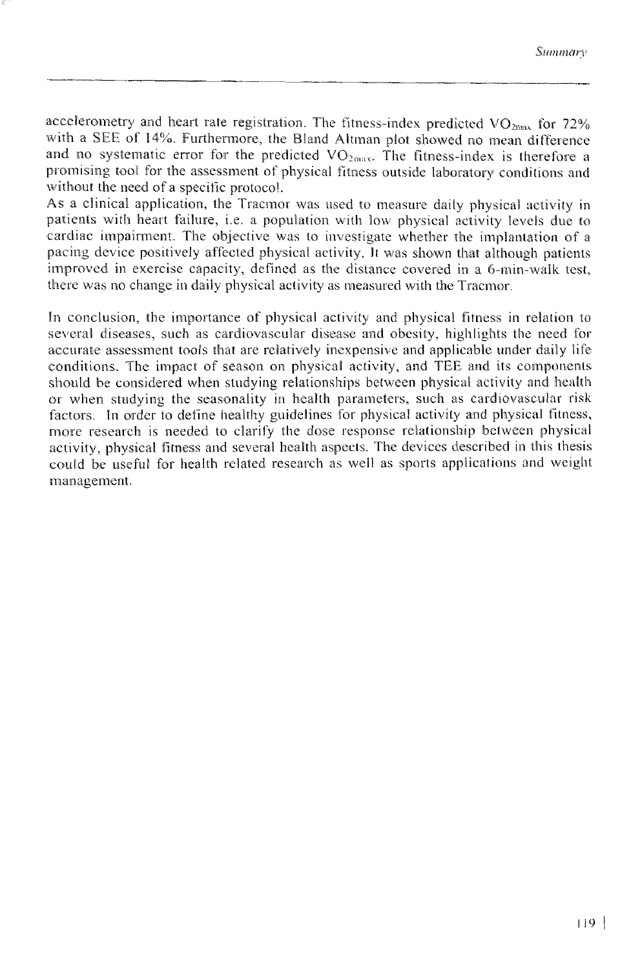accelerometry and heart rate registration. The fitness-index predicted  $VO<sub>2003</sub>$  for 72% with a SEE of 14%. Furthermore, the Bland Altman plot showed no mean difference and no systematic error for the predicted  $VO<sub>2max</sub>$ . The fitness-index is therefore a promising tool for the assessment of physical fitness outside laboratory conditions and without the need of a specific protocol.

As a clinical application, the Tracmor was used to measure daily physical activity in patients with heart failure, i.e. a population with low physical activity levels due to cardiac impairment. The objective was to investigate whether the implantation of a pacing device positively affected physical activity. It was shown that although patients improved in exercise capacity, defined as the distance covered in a 6-min-walk test. there was no change in daily physical activity as measured with the Tracmor.

In conclusion, the importance of physical activity and physical fitness in relation to several diseases, such as cardiovascular disease and obesity, highlights the need for accurate assessment tools that are relatively inexpensive and applicable under daily life conditions. The impact of season on physical activity, and TEE and its components should be considered when studying relationships between physical activity and health or when studying the seasonality in health parameters, such as cardiovascular risk factors. In order to define healthy guidelines for physical activity and physical fitness, more research is needed to clarify the dose response relationship between physical activity, physical fitness and several health aspects. The devices described in this thesis could be useful for health related research as well as sports applications and weight management.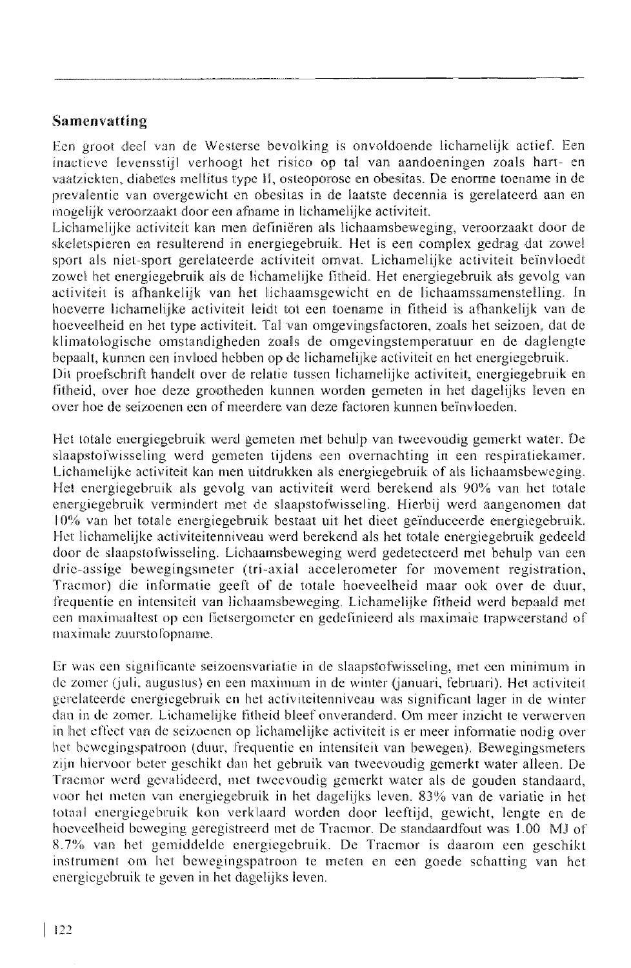## Samenvatting

Een groot deel van de Westerse bevolking is onvoldoende lichamelijk actief. Een inactieve levensstijl verhoogt het risico op tal van aandoeningen zoals hart- en vaatziekten, diabetes mellitus type II, osteoporose en obesitas. De enorme toename in de prevalentie van overgewicht en obesitas in de laatste decennia is gerelateerd aan en mogelijk veroorzaakt door een afname in lichamelijke activiteit.

Lichamelijke activiteit kan men definiëren als lichaamsbeweging, veroorzaakt door de skeletspieren en resulterend in energiegebruik. Het is een complex gedrag dat zowel sport als niet-sport gerelateerde activiteit omvat. Lichamelijke activiteit beïnvloedt zowel het energiegebruik als de lichamelijke fitheid. Het energiegebruik als gevolg van activiteit is afhankelijk van het lichaamsgewicht en de lichaamssamenstelling. In hoeverre lichamelijke activiteit leidt tot een toename in fitheid is afhankelijk van de hoeveelheid en het type activiteit. Tal van omgevingsfactoren, zoals het seizoen, dat de klimatologische omstandigheden zoals de omgevingstemperatuur en de daglengte bepaalt, kunnen een invloed hebben op de lichamelijke activiteit en het energiegebruik.

Dit proefschrift handelt over de relatie tussen lichamelijke activiteit, energiegebruik en fitheid, over hoe deze grootheden kunnen worden gemeten in het dagelijks leven en over hoe de seizoenen een of meerdere van deze factoren kunnen beïnvloeden.

Het totale energiegebruik werd gemeten met behulp van tweevoudig gemerkt water. De slaapstofwisseling werd gemeten tijdens een overnachting in een respiratiekamer. Lichamelijke activiteit kan men uitdrukken als energiegebruik of als lichaamsbeweging. Het energiegebruik als gevolg van activiteit werd berekend als 90% van het totale energiegebruik vermindert met de slaapstofwisseling. Hierbij werd aangenomen dat 10% van het totale energiegebruik bestaat uit het dieet geïnduceerde energiegebruik. Het lichamelijke activiteitenniveau werd berekend als het totale energiegebruik gedeeld door de slaapstofwisseling. Lichaamsbeweging werd gedetecteerd met behulp van een drie-assige bewegingsmeter (tri-axial accelerometer for movement registration, Tracmor) die informatie geeft of de totale hoeveelheid maar ook over de duur, frequentie en intensiteit van lichaamsbeweging. Lichamelijke fitheid werd bepaald met een maximaaltest op een fietsergometer en gedefinieerd als maximale trapweerstand of maximale zuurstofopname.

Er was een significante seizoensvariatie in de slaapstofwisseling, met een minimum in de zomer (juli, augustus) en een maximum in de winter (januari, februari). Het activiteit gerelateerde energiegebruik en het activiteitenniveau was significant lager in de winter dan in de zomer. Lichamelijke fitheid bleef onveranderd. Om meer inzicht te verwerven in het effect van de seizoenen op lichamelijke activiteit is er meer informatie nodig over het bewegingspatroon (duur, frequentie en intensiteit van bewegen). Bewegingsmeters zijn hiervoor beter geschikt dan het gebruik van tweevoudig gemerkt water alleen. De Tracmor werd gevalideerd, met tweevoudig gemerkt water als de gouden standaard, voor het meten van energiegebruik in het dagelijks leven. 83% van de variatie in het totaal energiegebruik kon verklaard worden door leeftijd, gewicht, lengte en de hoeveelheid beweging geregistreerd met de Tracmor. De standaardfout was 1.00 MJ of 8.7% van het gemiddelde energiegebruik. De Tracmor is daarom een geschikt instrument om het bewegingspatroon te meten en een goede schatting van het energiegebruik te geven in het dagelijks leven.